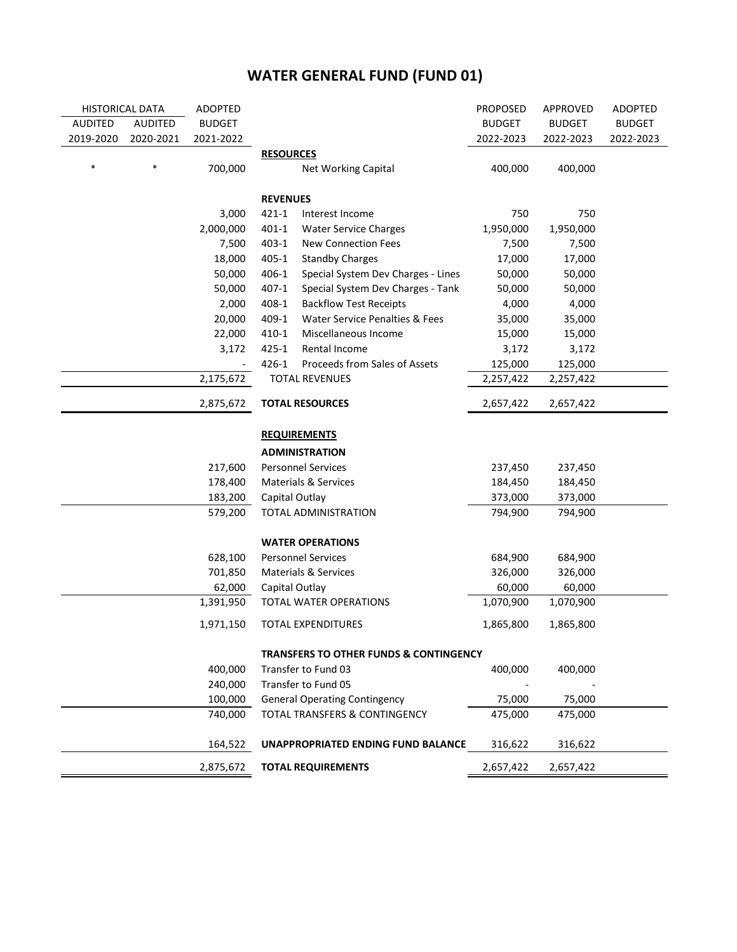| <b>HISTORICAL DATA</b> |                | <b>ADOPTED</b>           |                  |                                                   | <b>PROPOSED</b> | APPROVED      | <b>ADOPTED</b> |
|------------------------|----------------|--------------------------|------------------|---------------------------------------------------|-----------------|---------------|----------------|
| <b>AUDITED</b>         | <b>AUDITED</b> | <b>BUDGET</b>            |                  |                                                   | <b>BUDGET</b>   | <b>BUDGET</b> | <b>BUDGET</b>  |
| 2019-2020              | 2020-2021      | 2021-2022                |                  |                                                   | 2022-2023       | 2022-2023     | 2022-2023      |
|                        |                |                          | <b>RESOURCES</b> |                                                   |                 |               |                |
| $\ast$                 | *              | 700,000                  |                  | Net Working Capital                               | 400,000         | 400,000       |                |
|                        |                |                          | <b>REVENUES</b>  |                                                   |                 |               |                |
|                        |                | 3,000                    | $421 - 1$        | Interest Income                                   | 750             | 750           |                |
|                        |                | 2,000,000                | $401 - 1$        | <b>Water Service Charges</b>                      | 1,950,000       | 1,950,000     |                |
|                        |                | 7,500                    | $403 - 1$        | New Connection Fees                               | 7,500           | 7,500         |                |
|                        |                | 18,000                   | $405 - 1$        | <b>Standby Charges</b>                            | 17,000          | 17,000        |                |
|                        |                | 50,000                   | 406-1            | Special System Dev Charges - Lines                | 50,000          | 50,000        |                |
|                        |                | 50,000                   | $407 - 1$        | Special System Dev Charges - Tank                 | 50,000          | 50,000        |                |
|                        |                | 2,000                    | 408-1            | <b>Backflow Test Receipts</b>                     | 4,000           | 4,000         |                |
|                        |                | 20,000                   | 409-1            | Water Service Penalties & Fees                    | 35,000          | 35,000        |                |
|                        |                | 22,000                   | $410 - 1$        | Miscellaneous Income                              | 15,000          | 15,000        |                |
|                        |                | 3,172                    | $425 - 1$        | Rental Income                                     | 3,172           | 3,172         |                |
|                        |                | $\overline{\phantom{a}}$ | 426-1            | Proceeds from Sales of Assets                     | 125,000         | 125,000       |                |
|                        |                | 2,175,672                |                  | <b>TOTAL REVENUES</b>                             | 2,257,422       | 2,257,422     |                |
| 2,875,672              |                |                          |                  | <b>TOTAL RESOURCES</b>                            | 2,657,422       | 2,657,422     |                |
|                        |                |                          |                  |                                                   |                 |               |                |
|                        |                |                          |                  | <b>REQUIREMENTS</b>                               |                 |               |                |
|                        |                |                          |                  | <b>ADMINISTRATION</b>                             |                 |               |                |
|                        |                | 217,600                  |                  | <b>Personnel Services</b>                         | 237,450         | 237,450       |                |
|                        |                | 178,400                  |                  | Materials & Services                              | 184,450         | 184,450       |                |
|                        |                | 183,200                  |                  | Capital Outlay                                    | 373,000         | 373,000       |                |
|                        |                | 579,200                  |                  | TOTAL ADMINISTRATION                              | 794,900         | 794,900       |                |
|                        |                |                          |                  | <b>WATER OPERATIONS</b>                           |                 |               |                |
|                        |                | 628,100                  |                  | <b>Personnel Services</b>                         | 684,900         | 684,900       |                |
|                        |                | 701,850                  |                  | Materials & Services                              | 326,000         | 326,000       |                |
|                        |                | 62,000                   |                  | Capital Outlay                                    | 60,000          | 60,000        |                |
|                        |                | 1,391,950                |                  | TOTAL WATER OPERATIONS                            | 1,070,900       | 1,070,900     |                |
|                        |                | 1,971,150                |                  | <b>TOTAL EXPENDITURES</b>                         | 1,865,800       | 1,865,800     |                |
|                        |                |                          |                  | <b>TRANSFERS TO OTHER FUNDS &amp; CONTINGENCY</b> |                 |               |                |
|                        |                | 400,000                  |                  | Transfer to Fund 03                               | 400,000         | 400,000       |                |
|                        |                | 240,000                  |                  | Transfer to Fund 05                               |                 |               |                |
|                        |                | 100,000                  |                  | <b>General Operating Contingency</b>              | 75,000          | 75,000        |                |
|                        |                | 740,000                  |                  | TOTAL TRANSFERS & CONTINGENCY                     | 475,000         | 475,000       |                |
|                        |                | 164,522                  |                  | UNAPPROPRIATED ENDING FUND BALANCE                | 316,622         | 316,622       |                |
|                        |                | 2,875,672                |                  | <b>TOTAL REQUIREMENTS</b>                         | 2,657,422       | 2,657,422     |                |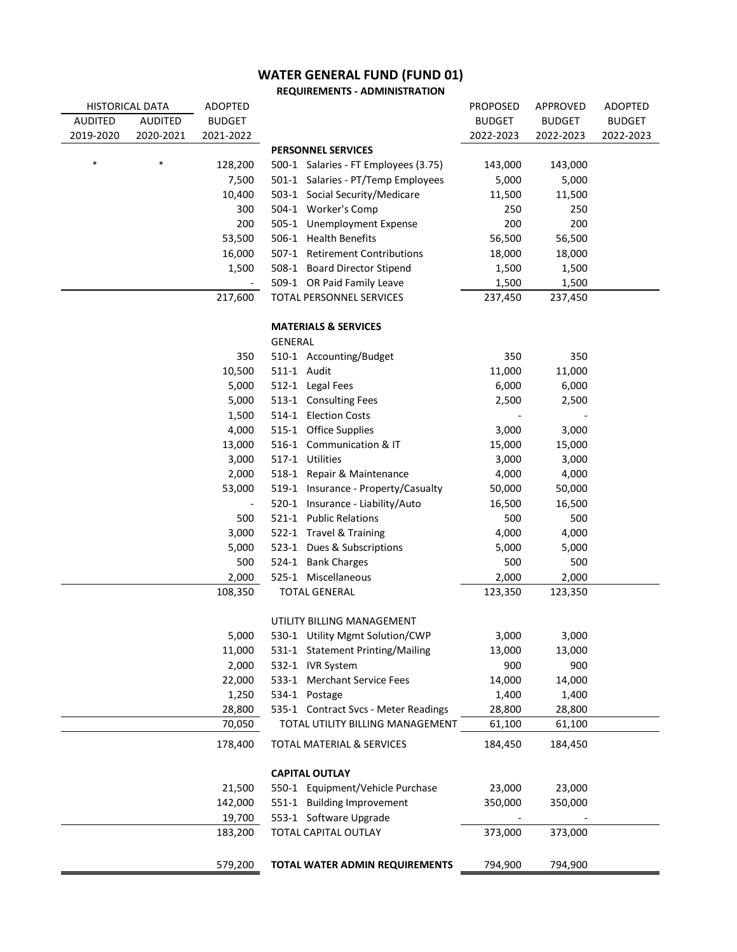**REQUIREMENTS - ADMINISTRATION**

| <b>HISTORICAL DATA</b> |                | <b>ADOPTED</b> |                                      | <b>PROPOSED</b> | <b>APPROVED</b>  | ADOPTED       |
|------------------------|----------------|----------------|--------------------------------------|-----------------|------------------|---------------|
| <b>AUDITED</b>         | <b>AUDITED</b> | <b>BUDGET</b>  |                                      | <b>BUDGET</b>   | <b>BUDGET</b>    | <b>BUDGET</b> |
| 2019-2020              | 2020-2021      | 2021-2022      |                                      | 2022-2023       | 2022-2023        | 2022-2023     |
|                        |                |                | <b>PERSONNEL SERVICES</b>            |                 |                  |               |
| $\ast$                 | $\ast$         | 128,200        | 500-1 Salaries - FT Employees (3.75) | 143,000         | 143,000          |               |
|                        |                | 7,500          | 501-1 Salaries - PT/Temp Employees   | 5,000           | 5,000            |               |
|                        |                | 10,400         | 503-1 Social Security/Medicare       | 11,500          | 11,500           |               |
|                        |                | 300            | 504-1 Worker's Comp                  | 250             | 250              |               |
|                        |                | 200            | 505-1 Unemployment Expense           | 200             | 200              |               |
|                        |                | 53,500         | 506-1 Health Benefits                | 56,500          | 56,500           |               |
|                        |                | 16,000         | 507-1 Retirement Contributions       | 18,000          | 18,000           |               |
|                        |                | 1,500          | 508-1 Board Director Stipend         | 1,500           | 1,500            |               |
|                        |                |                | 509-1 OR Paid Family Leave           | 1,500           | 1,500            |               |
|                        |                | 217,600        | TOTAL PERSONNEL SERVICES             | 237,450         | 237,450          |               |
|                        |                |                | <b>MATERIALS &amp; SERVICES</b>      |                 |                  |               |
|                        |                |                | GENERAL                              |                 |                  |               |
|                        |                | 350            | 510-1 Accounting/Budget              | 350             | 350              |               |
|                        |                | 10,500         | 511-1 Audit                          | 11,000          | 11,000           |               |
|                        |                | 5,000          | 512-1 Legal Fees                     | 6,000           | 6,000            |               |
|                        |                | 5,000          | 513-1 Consulting Fees                | 2,500           | 2,500            |               |
|                        |                | 1,500          | 514-1 Election Costs                 |                 |                  |               |
|                        |                | 4,000          | 515-1 Office Supplies                | 3,000           | 3,000            |               |
|                        |                | 13,000         | 516-1 Communication & IT             | 15,000          | 15,000           |               |
|                        |                | 3,000          | 517-1 Utilities                      | 3,000           | 3,000            |               |
|                        |                | 2,000          | 518-1 Repair & Maintenance           | 4,000           | 4,000            |               |
|                        |                | 53,000         | 519-1 Insurance - Property/Casualty  | 50,000          | 50,000           |               |
|                        |                |                | 520-1 Insurance - Liability/Auto     | 16,500          | 16,500           |               |
|                        |                | 500            | 521-1 Public Relations               | 500             | 500              |               |
|                        |                | 3,000          | 522-1 Travel & Training              | 4,000           | 4,000            |               |
|                        |                | 5,000          | 523-1 Dues & Subscriptions           | 5,000           | 5,000            |               |
|                        |                | 500            | 524-1 Bank Charges                   | 500             | 500              |               |
|                        |                | 2,000          | 525-1 Miscellaneous                  | 2,000           |                  |               |
|                        |                | 108,350        | <b>TOTAL GENERAL</b>                 | 123,350         | 2,000<br>123,350 |               |
|                        |                |                |                                      |                 |                  |               |
|                        |                |                | UTILITY BILLING MANAGEMENT           |                 |                  |               |
|                        |                | 5,000          | 530-1 Utility Mgmt Solution/CWP      | 3,000           | 3,000            |               |
|                        |                | 11,000         | 531-1 Statement Printing/Mailing     | 13,000          | 13,000           |               |
|                        |                | 2,000          | 532-1 IVR System                     | 900             | 900              |               |
|                        |                | 22,000         | 533-1 Merchant Service Fees          | 14,000          | 14,000           |               |
|                        |                | 1,250          | 534-1 Postage                        | 1,400           | 1,400            |               |
|                        |                | 28,800         | 535-1 Contract Svcs - Meter Readings | 28,800          | 28,800           |               |
|                        |                | 70,050         | TOTAL UTILITY BILLING MANAGEMENT     | 61,100          | 61,100           |               |
|                        |                | 178,400        | <b>TOTAL MATERIAL &amp; SERVICES</b> | 184,450         | 184,450          |               |
|                        |                |                | <b>CAPITAL OUTLAY</b>                |                 |                  |               |
|                        |                | 21,500         | 550-1 Equipment/Vehicle Purchase     | 23,000          | 23,000           |               |
|                        |                | 142,000        | 551-1 Building Improvement           | 350,000         | 350,000          |               |
|                        |                | 19,700         | 553-1 Software Upgrade               |                 |                  |               |
|                        |                | 183,200        | TOTAL CAPITAL OUTLAY                 | 373,000         | 373,000          |               |
|                        |                |                |                                      |                 |                  |               |
|                        |                | 579,200        | TOTAL WATER ADMIN REQUIREMENTS       | 794,900         | 794,900          |               |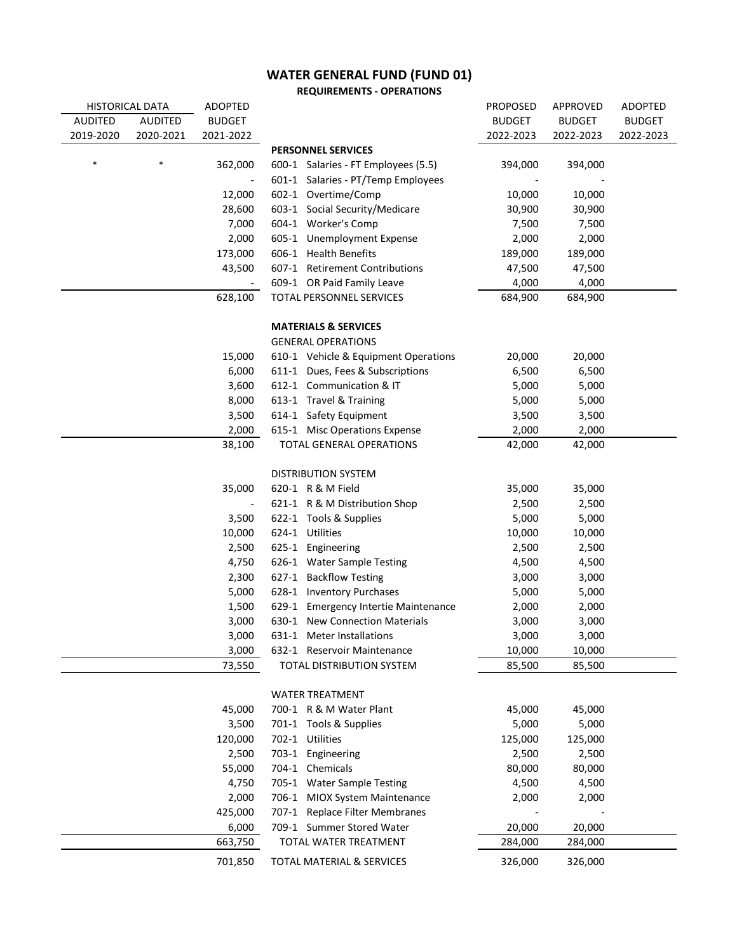**REQUIREMENTS - OPERATIONS**

|                | <b>HISTORICAL DATA</b> | ADOPTED                  |                                      | <b>PROPOSED</b> | APPROVED      | <b>ADOPTED</b> |
|----------------|------------------------|--------------------------|--------------------------------------|-----------------|---------------|----------------|
| <b>AUDITED</b> | <b>AUDITED</b>         | <b>BUDGET</b>            |                                      | <b>BUDGET</b>   | <b>BUDGET</b> | <b>BUDGET</b>  |
| 2019-2020      | 2020-2021              | 2021-2022                |                                      | 2022-2023       | 2022-2023     | 2022-2023      |
|                |                        |                          | <b>PERSONNEL SERVICES</b>            |                 |               |                |
| *              |                        | 362,000                  | 600-1 Salaries - FT Employees (5.5)  | 394,000         | 394,000       |                |
|                |                        | $\overline{\phantom{a}}$ | 601-1 Salaries - PT/Temp Employees   |                 |               |                |
|                |                        | 12,000                   | 602-1 Overtime/Comp                  | 10,000          | 10,000        |                |
|                |                        | 28,600                   | 603-1 Social Security/Medicare       | 30,900          | 30,900        |                |
|                |                        | 7,000                    | 604-1 Worker's Comp                  | 7,500           | 7,500         |                |
|                |                        | 2,000                    | 605-1 Unemployment Expense           | 2,000           | 2,000         |                |
|                |                        | 173,000                  | 606-1 Health Benefits                | 189,000         | 189,000       |                |
|                |                        | 43,500                   | 607-1 Retirement Contributions       | 47,500          | 47,500        |                |
|                |                        |                          | 609-1 OR Paid Family Leave           | 4,000           | 4,000         |                |
|                |                        | 628,100                  | TOTAL PERSONNEL SERVICES             | 684,900         | 684,900       |                |
|                |                        |                          | <b>MATERIALS &amp; SERVICES</b>      |                 |               |                |
|                |                        |                          | <b>GENERAL OPERATIONS</b>            |                 |               |                |
|                |                        | 15,000                   | 610-1 Vehicle & Equipment Operations | 20,000          | 20,000        |                |
|                |                        | 6,000                    | 611-1 Dues, Fees & Subscriptions     | 6,500           | 6,500         |                |
|                |                        | 3,600                    | 612-1 Communication & IT             | 5,000           | 5,000         |                |
|                |                        | 8,000                    | 613-1 Travel & Training              | 5,000           | 5,000         |                |
|                |                        | 3,500                    | 614-1 Safety Equipment               | 3,500           | 3,500         |                |
|                |                        | 2,000                    | 615-1 Misc Operations Expense        | 2,000           | 2,000         |                |
|                |                        | 38,100                   | TOTAL GENERAL OPERATIONS             | 42,000          | 42,000        |                |
|                |                        |                          |                                      |                 |               |                |
|                |                        |                          | <b>DISTRIBUTION SYSTEM</b>           |                 |               |                |
|                |                        | 35,000                   | 620-1 R & M Field                    | 35,000          | 35,000        |                |
|                |                        | $\overline{\phantom{a}}$ | 621-1 R & M Distribution Shop        | 2,500           | 2,500         |                |
|                |                        | 3,500                    | 622-1 Tools & Supplies               | 5,000           | 5,000         |                |
|                |                        | 10,000                   | 624-1 Utilities                      | 10,000          | 10,000        |                |
|                |                        | 2,500                    | 625-1 Engineering                    | 2,500           | 2,500         |                |
|                |                        | 4,750                    | 626-1 Water Sample Testing           | 4,500           | 4,500         |                |
|                |                        | 2,300                    | 627-1 Backflow Testing               | 3,000           | 3,000         |                |
|                |                        | 5,000                    | 628-1 Inventory Purchases            | 5,000           | 5,000         |                |
|                |                        | 1,500                    | 629-1 Emergency Intertie Maintenance | 2,000           | 2,000         |                |
|                |                        | 3,000                    | 630-1 New Connection Materials       | 3,000           | 3,000         |                |
|                |                        | 3,000                    | 631-1 Meter Installations            | 3,000           | 3,000         |                |
|                |                        | 3,000                    | 632-1 Reservoir Maintenance          | 10,000          | 10,000        |                |
|                |                        | 73,550                   | TOTAL DISTRIBUTION SYSTEM            | 85,500          | 85,500        |                |
|                |                        |                          |                                      |                 |               |                |
|                |                        |                          | <b>WATER TREATMENT</b>               |                 |               |                |
|                |                        | 45,000                   | 700-1 R & M Water Plant              | 45,000          | 45,000        |                |
|                |                        | 3,500                    | 701-1 Tools & Supplies               | 5,000           | 5,000         |                |
|                |                        | 120,000                  | 702-1 Utilities                      | 125,000         | 125,000       |                |
|                |                        | 2,500                    | 703-1 Engineering                    | 2,500           | 2,500         |                |
|                |                        | 55,000                   | 704-1 Chemicals                      | 80,000          | 80,000        |                |
|                |                        | 4,750                    | 705-1 Water Sample Testing           | 4,500           | 4,500         |                |
|                |                        | 2,000                    | 706-1 MIOX System Maintenance        | 2,000           | 2,000         |                |
|                |                        | 425,000                  | 707-1 Replace Filter Membranes       |                 |               |                |
|                |                        | 6,000                    | 709-1 Summer Stored Water            | 20,000          | 20,000        |                |
|                |                        | 663,750                  | TOTAL WATER TREATMENT                | 284,000         | 284,000       |                |
|                |                        | 701,850                  | TOTAL MATERIAL & SERVICES            | 326,000         | 326,000       |                |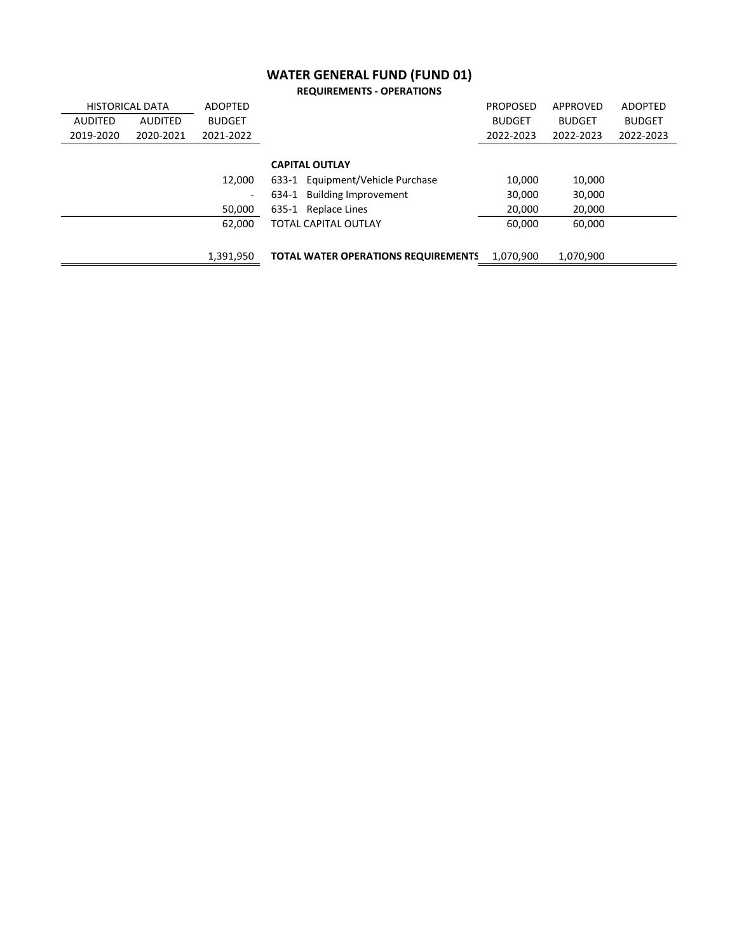| <b>REQUIREMENTS - OPERATIONS</b> |  |
|----------------------------------|--|
|----------------------------------|--|

| <b>HISTORICAL DATA</b>           | <b>ADOPTED</b>           |                                            | <b>PROPOSED</b> | APPROVED      | <b>ADOPTED</b> |
|----------------------------------|--------------------------|--------------------------------------------|-----------------|---------------|----------------|
| <b>AUDITED</b><br><b>AUDITED</b> | <b>BUDGET</b>            |                                            | <b>BUDGET</b>   | <b>BUDGET</b> | <b>BUDGET</b>  |
| 2019-2020<br>2020-2021           | 2021-2022                |                                            | 2022-2023       | 2022-2023     | 2022-2023      |
|                                  |                          |                                            |                 |               |                |
|                                  |                          | <b>CAPITAL OUTLAY</b>                      |                 |               |                |
|                                  | 12.000                   | 633-1 Equipment/Vehicle Purchase           | 10,000          | 10,000        |                |
|                                  | $\overline{\phantom{a}}$ | 634-1 Building Improvement                 | 30,000          | 30,000        |                |
|                                  | 50,000                   | 635-1 Replace Lines                        | 20,000          | 20,000        |                |
|                                  | 62,000                   | <b>TOTAL CAPITAL OUTLAY</b>                | 60.000          | 60,000        |                |
|                                  |                          |                                            |                 |               |                |
|                                  | 1,391,950                | <b>TOTAL WATER OPERATIONS REQUIREMENTS</b> | 1,070,900       | 1,070,900     |                |
|                                  |                          |                                            |                 |               |                |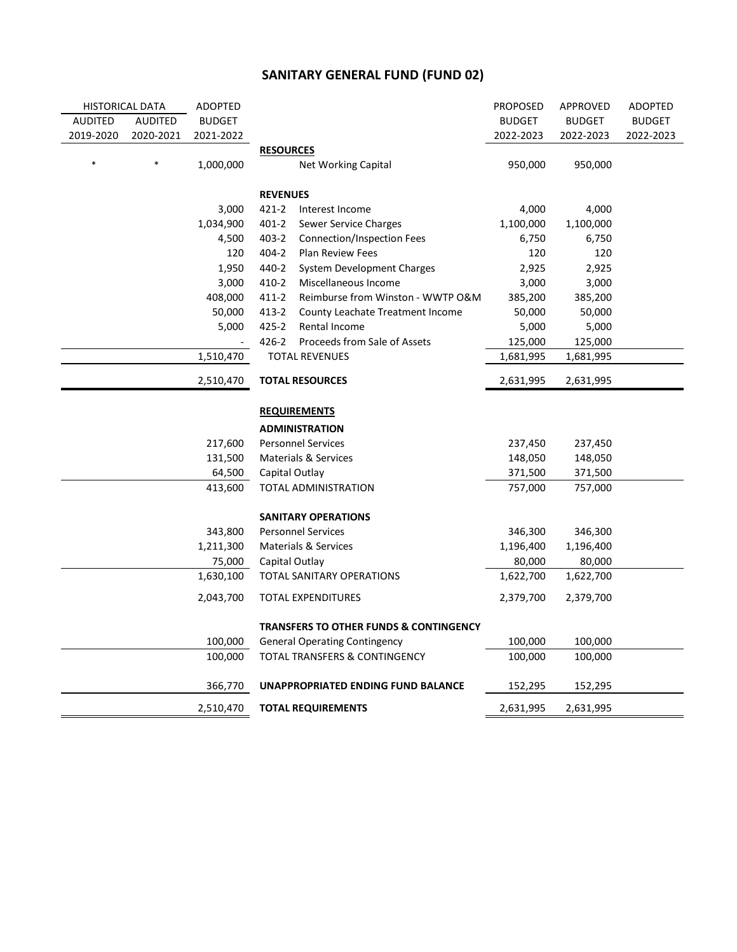## **SANITARY GENERAL FUND (FUND 02)**

| <b>HISTORICAL DATA</b><br>ADOPTED |                |               |                                                   | <b>PROPOSED</b> | APPROVED      | <b>ADOPTED</b> |
|-----------------------------------|----------------|---------------|---------------------------------------------------|-----------------|---------------|----------------|
| AUDITED                           | <b>AUDITED</b> | <b>BUDGET</b> |                                                   | <b>BUDGET</b>   | <b>BUDGET</b> | <b>BUDGET</b>  |
| 2019-2020                         | 2020-2021      | 2021-2022     |                                                   | 2022-2023       | 2022-2023     | 2022-2023      |
|                                   |                |               | <b>RESOURCES</b>                                  |                 |               |                |
|                                   |                | 1,000,000     | <b>Net Working Capital</b>                        | 950,000         | 950,000       |                |
|                                   |                |               | <b>REVENUES</b>                                   |                 |               |                |
|                                   |                | 3,000         | 421-2<br>Interest Income                          | 4,000           | 4,000         |                |
|                                   |                | 1,034,900     | $401 - 2$<br>Sewer Service Charges                | 1,100,000       | 1,100,000     |                |
|                                   |                | 4,500         | $403 - 2$<br>Connection/Inspection Fees           | 6,750           | 6,750         |                |
|                                   |                | 120           | $404 - 2$<br><b>Plan Review Fees</b>              | 120             | 120           |                |
|                                   |                | 1,950         | 440-2<br>System Development Charges               | 2,925           | 2,925         |                |
|                                   |                | 3,000         | $410 - 2$<br>Miscellaneous Income                 | 3,000           | 3,000         |                |
|                                   |                | 408,000       | $411 - 2$<br>Reimburse from Winston - WWTP O&M    | 385,200         | 385,200       |                |
|                                   |                | 50,000        | 413-2<br>County Leachate Treatment Income         | 50,000          | 50,000        |                |
|                                   |                | 5,000         | 425-2<br>Rental Income                            | 5,000           | 5,000         |                |
|                                   |                |               | 426-2<br>Proceeds from Sale of Assets             | 125,000         | 125,000       |                |
|                                   |                | 1,510,470     | <b>TOTAL REVENUES</b>                             | 1,681,995       | 1,681,995     |                |
|                                   |                | 2,510,470     | <b>TOTAL RESOURCES</b>                            | 2,631,995       | 2,631,995     |                |
|                                   |                |               |                                                   |                 |               |                |
|                                   |                |               | <b>REQUIREMENTS</b>                               |                 |               |                |
|                                   |                |               | <b>ADMINISTRATION</b>                             |                 |               |                |
|                                   |                | 217,600       | <b>Personnel Services</b>                         | 237,450         | 237,450       |                |
|                                   |                | 131,500       | Materials & Services                              | 148,050         | 148,050       |                |
|                                   |                | 64,500        | Capital Outlay                                    | 371,500         | 371,500       |                |
|                                   |                | 413,600       | TOTAL ADMINISTRATION                              | 757,000         | 757,000       |                |
|                                   |                |               | <b>SANITARY OPERATIONS</b>                        |                 |               |                |
|                                   |                | 343,800       | <b>Personnel Services</b>                         | 346,300         | 346,300       |                |
|                                   |                | 1,211,300     | Materials & Services                              | 1,196,400       | 1,196,400     |                |
|                                   |                | 75,000        | Capital Outlay                                    | 80,000          | 80,000        |                |
|                                   |                | 1,630,100     | TOTAL SANITARY OPERATIONS                         | 1,622,700       | 1,622,700     |                |
|                                   |                | 2,043,700     | <b>TOTAL EXPENDITURES</b>                         | 2,379,700       | 2,379,700     |                |
|                                   |                |               | <b>TRANSFERS TO OTHER FUNDS &amp; CONTINGENCY</b> |                 |               |                |
|                                   |                | 100,000       | <b>General Operating Contingency</b>              | 100,000         | 100,000       |                |
|                                   |                | 100,000       | <b>TOTAL TRANSFERS &amp; CONTINGENCY</b>          | 100,000         | 100,000       |                |
|                                   |                | 366,770       | UNAPPROPRIATED ENDING FUND BALANCE                | 152,295         | 152,295       |                |
|                                   |                | 2,510,470     | <b>TOTAL REQUIREMENTS</b>                         | 2,631,995       | 2,631,995     |                |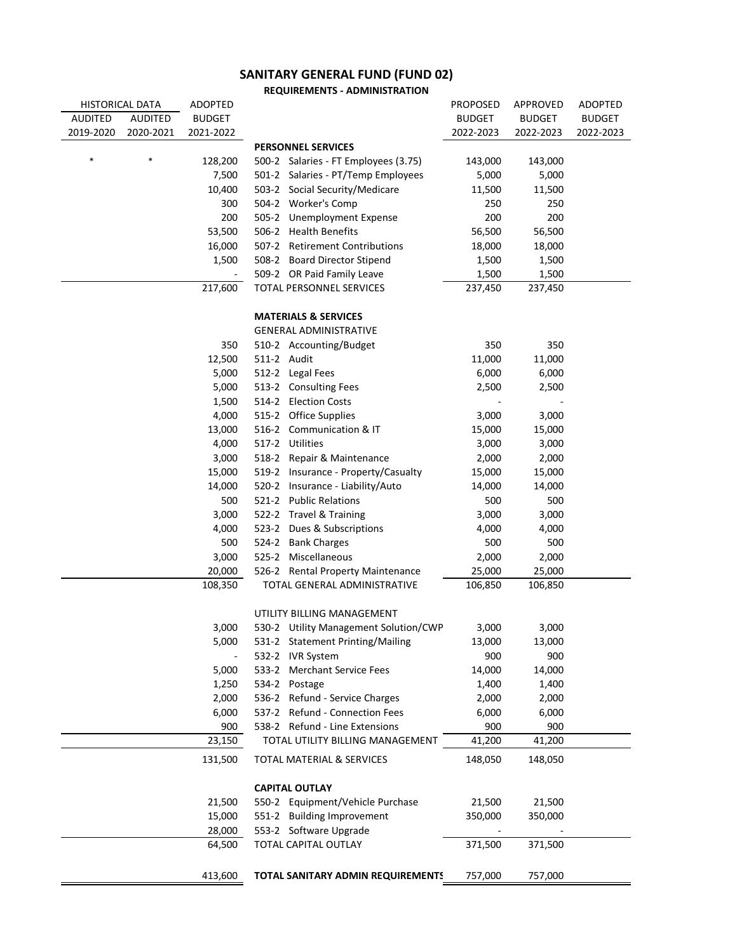#### **SANITARY GENERAL FUND (FUND 02)**

**REQUIREMENTS - ADMINISTRATION**

| <b>HISTORICAL DATA</b> |           | ADOPTED       |                                       | <b>PROPOSED</b> | APPROVED      | <b>ADOPTED</b> |
|------------------------|-----------|---------------|---------------------------------------|-----------------|---------------|----------------|
| <b>AUDITED</b>         | AUDITED   | <b>BUDGET</b> |                                       | <b>BUDGET</b>   | <b>BUDGET</b> | <b>BUDGET</b>  |
| 2019-2020              | 2020-2021 | 2021-2022     |                                       | 2022-2023       | 2022-2023     | 2022-2023      |
|                        |           |               | <b>PERSONNEL SERVICES</b>             |                 |               |                |
|                        |           | 128,200       | 500-2 Salaries - FT Employees (3.75)  | 143,000         | 143,000       |                |
|                        |           | 7,500         | 501-2 Salaries - PT/Temp Employees    | 5,000           | 5,000         |                |
|                        |           | 10,400        | 503-2 Social Security/Medicare        | 11,500          | 11,500        |                |
|                        |           | 300           | 504-2 Worker's Comp                   | 250             | 250           |                |
|                        |           | 200           | 505-2 Unemployment Expense            | 200             | 200           |                |
|                        |           | 53,500        | 506-2 Health Benefits                 | 56,500          | 56,500        |                |
|                        |           | 16,000        | 507-2 Retirement Contributions        | 18,000          | 18,000        |                |
|                        |           | 1,500         | 508-2 Board Director Stipend          | 1,500           | 1,500         |                |
|                        |           |               | 509-2 OR Paid Family Leave            | 1,500           | 1,500         |                |
|                        |           | 217,600       | TOTAL PERSONNEL SERVICES              | 237,450         | 237,450       |                |
|                        |           |               |                                       |                 |               |                |
|                        |           |               | <b>MATERIALS &amp; SERVICES</b>       |                 |               |                |
|                        |           |               | <b>GENERAL ADMINISTRATIVE</b>         |                 |               |                |
|                        |           | 350           | 510-2 Accounting/Budget               | 350             | 350           |                |
|                        |           | 12,500        | 511-2 Audit                           | 11,000          | 11,000        |                |
|                        |           | 5,000         | 512-2 Legal Fees                      | 6,000           | 6,000         |                |
|                        |           | 5,000         | 513-2 Consulting Fees                 | 2,500           | 2,500         |                |
|                        |           | 1,500         | 514-2 Election Costs                  |                 |               |                |
|                        |           | 4,000         | 515-2 Office Supplies                 | 3,000           | 3,000         |                |
|                        |           | 13,000        | 516-2 Communication & IT              | 15,000          | 15,000        |                |
|                        |           | 4,000         | 517-2 Utilities                       | 3,000           | 3,000         |                |
|                        |           | 3,000         | 518-2 Repair & Maintenance            | 2,000           | 2,000         |                |
|                        |           | 15,000        | 519-2 Insurance - Property/Casualty   | 15,000          | 15,000        |                |
|                        |           | 14,000        | 520-2 Insurance - Liability/Auto      | 14,000          | 14,000        |                |
|                        |           | 500           | 521-2 Public Relations                | 500             | 500           |                |
|                        |           | 3,000         | 522-2 Travel & Training               | 3,000           | 3,000         |                |
|                        |           | 4,000         | 523-2 Dues & Subscriptions            | 4,000           | 4,000         |                |
|                        |           | 500           | 524-2 Bank Charges                    | 500             | 500           |                |
|                        |           | 3,000         | 525-2 Miscellaneous                   | 2,000           | 2,000         |                |
|                        |           | 20,000        | 526-2 Rental Property Maintenance     | 25,000          | 25,000        |                |
|                        |           | 108,350       | TOTAL GENERAL ADMINISTRATIVE          | 106,850         | 106,850       |                |
|                        |           |               |                                       |                 |               |                |
|                        |           |               | UTILITY BILLING MANAGEMENT            |                 |               |                |
|                        |           | 3,000         | 530-2 Utility Management Solution/CWP | 3,000           | 3,000         |                |
|                        |           | 5,000         | 531-2 Statement Printing/Mailing      | 13,000          | 13,000        |                |
|                        |           |               | 532-2 IVR System                      | 900             | 900           |                |
|                        |           | 5,000         | 533-2 Merchant Service Fees           | 14,000          | 14,000        |                |
|                        |           | 1,250         | 534-2 Postage                         | 1,400           | 1,400         |                |
|                        |           | 2,000         | 536-2 Refund - Service Charges        | 2,000           | 2,000         |                |
|                        |           | 6,000         | 537-2 Refund - Connection Fees        | 6,000           | 6,000         |                |
|                        |           | 900           | 538-2 Refund - Line Extensions        | 900             | 900           |                |
|                        |           | 23,150        | TOTAL UTILITY BILLING MANAGEMENT      | 41,200          | 41,200        |                |
|                        |           | 131,500       | <b>TOTAL MATERIAL &amp; SERVICES</b>  | 148,050         | 148,050       |                |
|                        |           |               |                                       |                 |               |                |
|                        |           |               | <b>CAPITAL OUTLAY</b>                 |                 |               |                |
|                        |           | 21,500        | 550-2 Equipment/Vehicle Purchase      | 21,500          | 21,500        |                |
|                        |           | 15,000        | 551-2 Building Improvement            | 350,000         | 350,000       |                |
|                        |           | 28,000        | 553-2 Software Upgrade                |                 |               |                |
|                        |           | 64,500        | TOTAL CAPITAL OUTLAY                  | 371,500         | 371,500       |                |
|                        |           |               |                                       |                 |               |                |
|                        |           | 413,600       | TOTAL SANITARY ADMIN REQUIREMENTS     | 757,000         | 757,000       |                |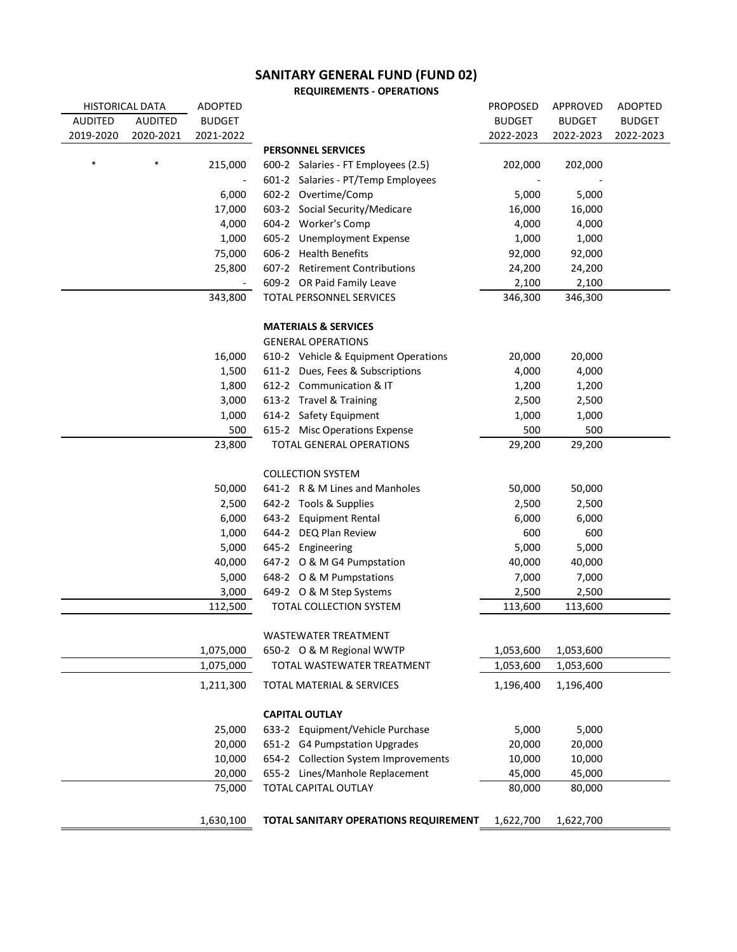### **SANITARY GENERAL FUND (FUND 02)**

**REQUIREMENTS - OPERATIONS**

| HISTORICAL DATA |                | <b>ADOPTED</b> |                                       | <b>PROPOSED</b> | APPROVED      | <b>ADOPTED</b> |
|-----------------|----------------|----------------|---------------------------------------|-----------------|---------------|----------------|
| <b>AUDITED</b>  | <b>AUDITED</b> | <b>BUDGET</b>  |                                       | <b>BUDGET</b>   | <b>BUDGET</b> | <b>BUDGET</b>  |
| 2019-2020       | 2020-2021      | 2021-2022      |                                       | 2022-2023       | 2022-2023     | 2022-2023      |
|                 |                |                | <b>PERSONNEL SERVICES</b>             |                 |               |                |
| $\ast$          | $\ast$         | 215,000        | 600-2 Salaries - FT Employees (2.5)   | 202,000         | 202,000       |                |
|                 |                |                | 601-2 Salaries - PT/Temp Employees    |                 |               |                |
|                 |                | 6,000          | 602-2 Overtime/Comp                   | 5,000           | 5,000         |                |
|                 |                | 17,000         | 603-2 Social Security/Medicare        | 16,000          | 16,000        |                |
|                 |                | 4,000          | 604-2 Worker's Comp                   | 4,000           | 4,000         |                |
|                 |                | 1,000          | 605-2 Unemployment Expense            | 1,000           | 1,000         |                |
|                 |                | 75,000         | 606-2 Health Benefits                 | 92,000          | 92,000        |                |
|                 |                | 25,800         | 607-2 Retirement Contributions        | 24,200          | 24,200        |                |
|                 |                | $\sim$         | 609-2 OR Paid Family Leave            | 2,100           | 2,100         |                |
|                 |                | 343,800        | TOTAL PERSONNEL SERVICES              | 346,300         | 346,300       |                |
|                 |                |                |                                       |                 |               |                |
|                 |                |                | <b>MATERIALS &amp; SERVICES</b>       |                 |               |                |
|                 |                |                | <b>GENERAL OPERATIONS</b>             |                 |               |                |
|                 |                | 16,000         | 610-2 Vehicle & Equipment Operations  | 20,000          | 20,000        |                |
|                 |                | 1,500          | 611-2 Dues, Fees & Subscriptions      | 4,000           | 4,000         |                |
|                 |                | 1,800          | 612-2 Communication & IT              | 1,200           | 1,200         |                |
|                 |                | 3,000          | 613-2 Travel & Training               | 2,500           | 2,500         |                |
|                 |                | 1,000          | 614-2 Safety Equipment                | 1,000           | 1,000         |                |
|                 |                | 500            | 615-2 Misc Operations Expense         | 500             | 500           |                |
|                 |                | 23,800         | TOTAL GENERAL OPERATIONS              | 29,200          | 29,200        |                |
|                 |                |                | <b>COLLECTION SYSTEM</b>              |                 |               |                |
|                 |                | 50,000         | 641-2 R & M Lines and Manholes        | 50,000          | 50,000        |                |
|                 |                | 2,500          | 642-2 Tools & Supplies                | 2,500           | 2,500         |                |
|                 |                | 6,000          | 643-2 Equipment Rental                | 6,000           | 6,000         |                |
|                 |                | 1,000          | 644-2 DEQ Plan Review                 | 600             | 600           |                |
|                 |                | 5,000          | 645-2 Engineering                     | 5,000           | 5,000         |                |
|                 |                | 40,000         | 647-2 O & M G4 Pumpstation            | 40,000          | 40,000        |                |
|                 |                | 5,000          | 648-2 O & M Pumpstations              | 7,000           | 7,000         |                |
|                 |                | 3,000          | 649-2 O & M Step Systems              | 2,500           | 2,500         |                |
|                 |                | 112,500        | TOTAL COLLECTION SYSTEM               | 113,600         | 113,600       |                |
|                 |                |                |                                       |                 |               |                |
|                 |                |                | WASTEWATER TREATMENT                  |                 |               |                |
|                 |                | 1,075,000      | 650-2 O & M Regional WWTP             | 1,053,600       | 1,053,600     |                |
|                 |                | 1,075,000      | TOTAL WASTEWATER TREATMENT            | 1,053,600       | 1,053,600     |                |
|                 |                | 1,211,300      | TOTAL MATERIAL & SERVICES             | 1,196,400       | 1,196,400     |                |
|                 |                |                |                                       |                 |               |                |
|                 |                |                | <b>CAPITAL OUTLAY</b>                 |                 |               |                |
|                 |                | 25,000         | 633-2 Equipment/Vehicle Purchase      | 5,000           | 5,000         |                |
|                 |                | 20,000         | 651-2 G4 Pumpstation Upgrades         | 20,000          | 20,000        |                |
|                 |                | 10,000         | 654-2 Collection System Improvements  | 10,000          | 10,000        |                |
|                 |                | 20,000         | 655-2 Lines/Manhole Replacement       | 45,000          | 45,000        |                |
|                 |                | 75,000         | TOTAL CAPITAL OUTLAY                  | 80,000          | 80,000        |                |
|                 |                |                |                                       |                 |               |                |
|                 |                | 1,630,100      | TOTAL SANITARY OPERATIONS REQUIREMENT | 1,622,700       | 1,622,700     |                |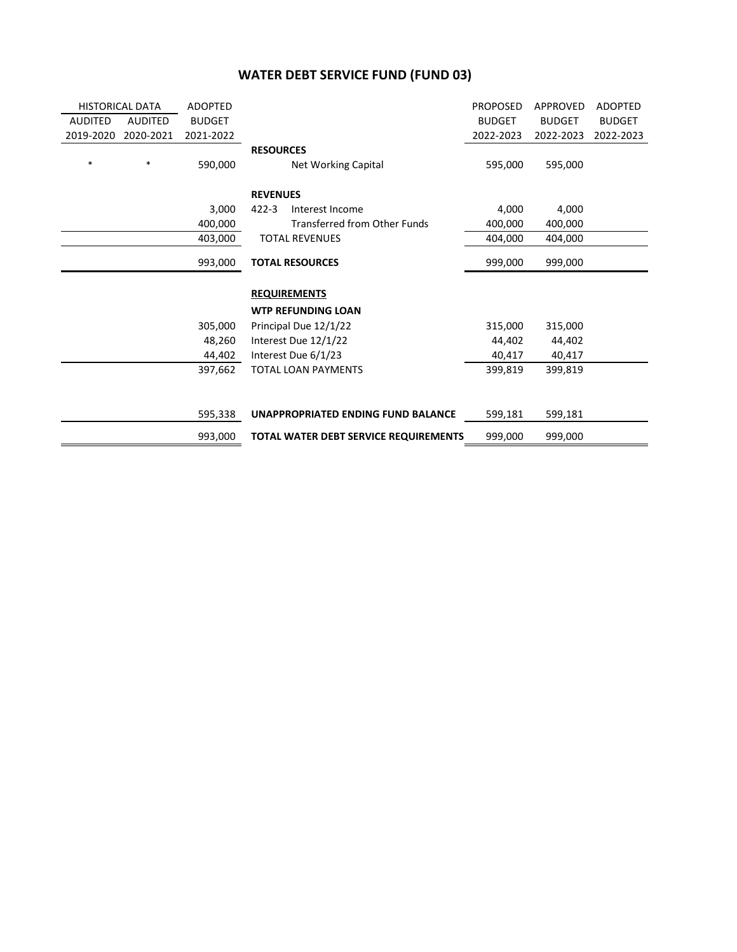### **WATER DEBT SERVICE FUND (FUND 03)**

| <b>HISTORICAL DATA</b><br><b>ADOPTED</b> |                |               |                                              | <b>PROPOSED</b> | <b>APPROVED</b> | <b>ADOPTED</b> |
|------------------------------------------|----------------|---------------|----------------------------------------------|-----------------|-----------------|----------------|
| <b>AUDITED</b>                           | <b>AUDITED</b> | <b>BUDGET</b> |                                              | <b>BUDGET</b>   | <b>BUDGET</b>   | <b>BUDGET</b>  |
| 2019-2020                                | 2020-2021      | 2021-2022     |                                              | 2022-2023       | 2022-2023       | 2022-2023      |
|                                          |                |               | <b>RESOURCES</b>                             |                 |                 |                |
| $\ast$                                   | $\ast$         | 590,000       | <b>Net Working Capital</b>                   | 595,000         | 595,000         |                |
|                                          |                |               |                                              |                 |                 |                |
|                                          |                |               | <b>REVENUES</b>                              |                 |                 |                |
|                                          |                | 3,000         | $422 - 3$<br>Interest Income                 | 4,000           | 4,000           |                |
|                                          |                | 400,000       | Transferred from Other Funds                 | 400,000         | 400,000         |                |
|                                          |                | 403,000       | <b>TOTAL REVENUES</b>                        | 404,000         | 404,000         |                |
|                                          |                |               |                                              |                 |                 |                |
|                                          |                | 993,000       | <b>TOTAL RESOURCES</b>                       | 999,000         | 999,000         |                |
|                                          |                |               | <b>REQUIREMENTS</b>                          |                 |                 |                |
|                                          |                |               |                                              |                 |                 |                |
|                                          |                |               | <b>WTP REFUNDING LOAN</b>                    |                 |                 |                |
|                                          |                | 305,000       | Principal Due 12/1/22                        | 315,000         | 315,000         |                |
|                                          |                | 48,260        | Interest Due 12/1/22                         | 44,402          | 44,402          |                |
|                                          |                | 44,402        | Interest Due 6/1/23                          | 40,417          | 40,417          |                |
|                                          |                | 397,662       | TOTAL LOAN PAYMENTS                          | 399,819         | 399,819         |                |
|                                          |                |               |                                              |                 |                 |                |
|                                          |                |               |                                              |                 |                 |                |
|                                          |                | 595,338       | UNAPPROPRIATED ENDING FUND BALANCE           | 599,181         | 599,181         |                |
|                                          |                | 993,000       | <b>TOTAL WATER DEBT SERVICE REQUIREMENTS</b> | 999,000         | 999,000         |                |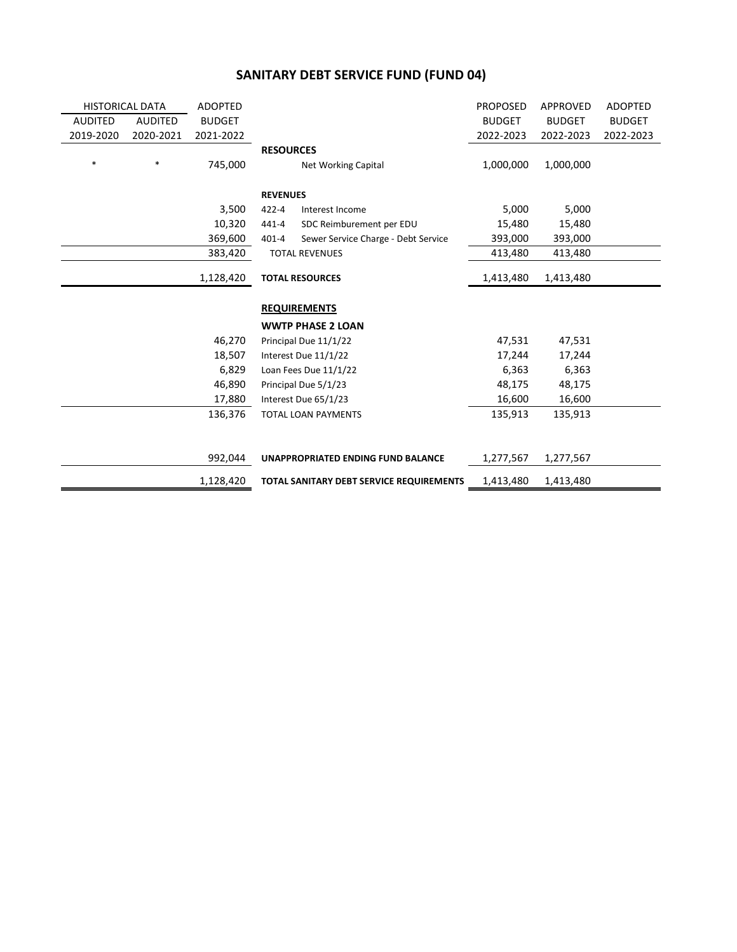### **SANITARY DEBT SERVICE FUND (FUND 04)**

| <b>HISTORICAL DATA</b> |           | <b>ADOPTED</b> |                  |                                          | <b>PROPOSED</b> | <b>APPROVED</b> | <b>ADOPTED</b> |
|------------------------|-----------|----------------|------------------|------------------------------------------|-----------------|-----------------|----------------|
| <b>AUDITED</b>         | AUDITED   | <b>BUDGET</b>  |                  |                                          | <b>BUDGET</b>   | <b>BUDGET</b>   | <b>BUDGET</b>  |
| 2019-2020              | 2020-2021 | 2021-2022      |                  |                                          | 2022-2023       | 2022-2023       | 2022-2023      |
|                        |           |                | <b>RESOURCES</b> |                                          |                 |                 |                |
| $\ast$                 | $\ast$    | 745,000        |                  | Net Working Capital                      | 1,000,000       | 1,000,000       |                |
|                        |           |                | <b>REVENUES</b>  |                                          |                 |                 |                |
|                        |           | 3,500          | 422-4            | Interest Income                          | 5,000           | 5,000           |                |
|                        |           | 10,320         | 441-4            | SDC Reimburement per EDU                 | 15,480          | 15,480          |                |
|                        |           | 369,600        | 401-4            |                                          | 393,000         | 393,000         |                |
|                        |           |                |                  | Sewer Service Charge - Debt Service      |                 |                 |                |
|                        |           | 383,420        |                  | <b>TOTAL REVENUES</b>                    | 413,480         | 413,480         |                |
|                        |           | 1,128,420      |                  | <b>TOTAL RESOURCES</b>                   | 1,413,480       | 1,413,480       |                |
|                        |           |                |                  | <b>REQUIREMENTS</b>                      |                 |                 |                |
|                        |           |                |                  |                                          |                 |                 |                |
|                        |           |                |                  | <b>WWTP PHASE 2 LOAN</b>                 |                 |                 |                |
|                        |           | 46,270         |                  | Principal Due 11/1/22                    | 47,531          | 47,531          |                |
|                        |           | 18,507         |                  | Interest Due 11/1/22                     | 17,244          | 17,244          |                |
|                        |           | 6,829          |                  | Loan Fees Due 11/1/22                    | 6,363           | 6,363           |                |
|                        |           | 46,890         |                  | Principal Due 5/1/23                     | 48,175          | 48,175          |                |
|                        |           | 17,880         |                  | Interest Due 65/1/23                     | 16,600          | 16,600          |                |
|                        |           | 136,376        |                  | TOTAL LOAN PAYMENTS                      | 135,913         | 135,913         |                |
|                        |           |                |                  |                                          |                 |                 |                |
|                        |           | 992,044        |                  | UNAPPROPRIATED ENDING FUND BALANCE       | 1,277,567       | 1,277,567       |                |
|                        |           | 1,128,420      |                  | TOTAL SANITARY DEBT SERVICE REQUIREMENTS | 1,413,480       | 1,413,480       |                |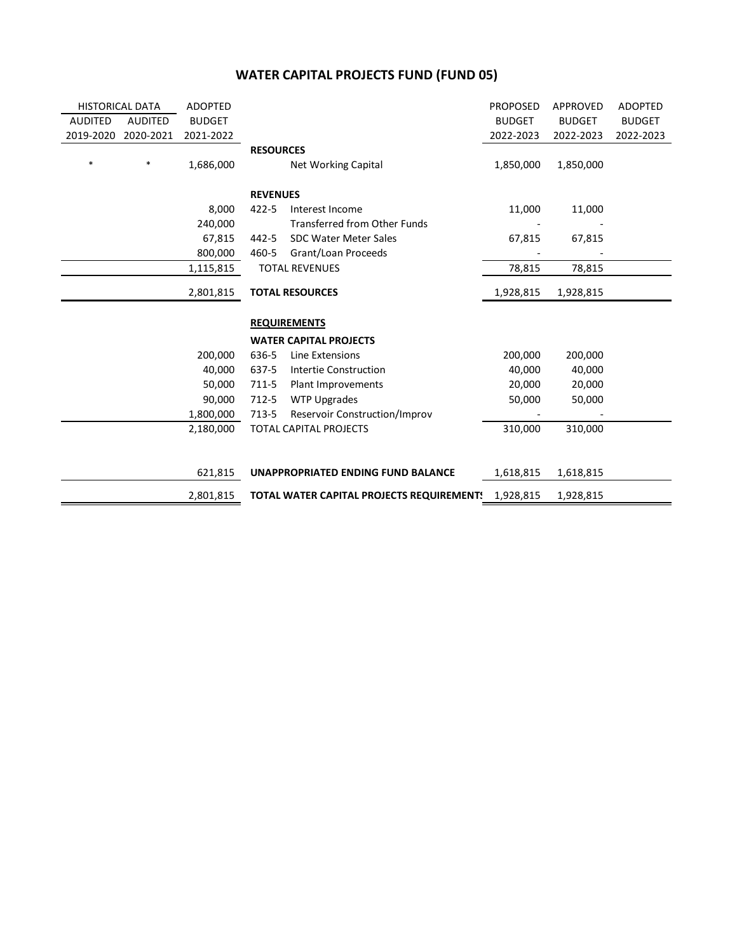#### **WATER CAPITAL PROJECTS FUND (FUND 05)**

| <b>HISTORICAL DATA</b> |                | <b>ADOPTED</b> |                  |                                           | <b>PROPOSED</b> | APPROVED      | <b>ADOPTED</b> |
|------------------------|----------------|----------------|------------------|-------------------------------------------|-----------------|---------------|----------------|
| <b>AUDITED</b>         | <b>AUDITED</b> | <b>BUDGET</b>  |                  |                                           | <b>BUDGET</b>   | <b>BUDGET</b> | <b>BUDGET</b>  |
| 2019-2020              | 2020-2021      | 2021-2022      |                  |                                           | 2022-2023       | 2022-2023     | 2022-2023      |
|                        |                |                | <b>RESOURCES</b> |                                           |                 |               |                |
| $\ast$                 | $\ast$         | 1,686,000      |                  | Net Working Capital                       | 1,850,000       | 1,850,000     |                |
|                        |                |                |                  |                                           |                 |               |                |
|                        |                |                | <b>REVENUES</b>  |                                           |                 |               |                |
|                        |                | 8,000          | 422-5            | Interest Income                           | 11,000          | 11,000        |                |
|                        |                | 240,000        |                  | <b>Transferred from Other Funds</b>       |                 |               |                |
|                        |                | 67,815         | 442-5            | <b>SDC Water Meter Sales</b>              | 67,815          | 67,815        |                |
|                        |                | 800,000        | 460-5            | Grant/Loan Proceeds                       |                 |               |                |
|                        |                | 1,115,815      |                  | <b>TOTAL REVENUES</b>                     | 78,815          | 78,815        |                |
|                        |                |                |                  |                                           |                 |               |                |
|                        |                | 2,801,815      |                  | <b>TOTAL RESOURCES</b>                    | 1,928,815       | 1,928,815     |                |
|                        |                |                |                  |                                           |                 |               |                |
|                        |                |                |                  | <b>REQUIREMENTS</b>                       |                 |               |                |
|                        |                |                |                  | <b>WATER CAPITAL PROJECTS</b>             |                 |               |                |
|                        |                | 200,000        | 636-5            | Line Extensions                           | 200,000         | 200,000       |                |
|                        |                | 40,000         | 637-5            | Intertie Construction                     | 40,000          | 40,000        |                |
|                        |                | 50,000         | 711-5            | Plant Improvements                        | 20,000          | 20,000        |                |
|                        |                | 90,000         | 712-5            | <b>WTP Upgrades</b>                       | 50,000          | 50,000        |                |
|                        |                | 1,800,000      | 713-5            | Reservoir Construction/Improv             |                 |               |                |
|                        |                | 2,180,000      |                  | <b>TOTAL CAPITAL PROJECTS</b>             | 310,000         | 310,000       |                |
|                        |                |                |                  |                                           |                 |               |                |
|                        |                |                |                  |                                           |                 |               |                |
|                        |                | 621,815        |                  | UNAPPROPRIATED ENDING FUND BALANCE        | 1,618,815       | 1,618,815     |                |
|                        |                | 2,801,815      |                  | TOTAL WATER CAPITAL PROJECTS REQUIREMENT! | 1,928,815       | 1,928,815     |                |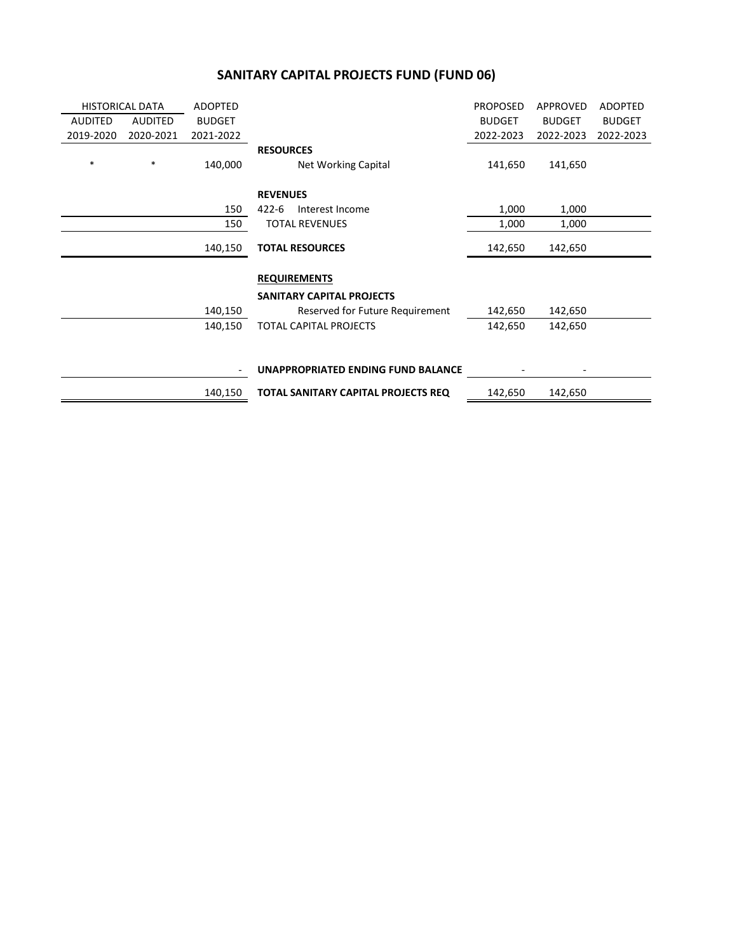#### **SANITARY CAPITAL PROJECTS FUND (FUND 06)**

| <b>HISTORICAL DATA</b> |           | <b>ADOPTED</b> |                                     | <b>PROPOSED</b> | APPROVED      | <b>ADOPTED</b> |
|------------------------|-----------|----------------|-------------------------------------|-----------------|---------------|----------------|
| <b>AUDITED</b>         | AUDITED   | <b>BUDGET</b>  |                                     | <b>BUDGET</b>   | <b>BUDGET</b> | <b>BUDGET</b>  |
| 2019-2020              | 2020-2021 | 2021-2022      |                                     | 2022-2023       | 2022-2023     | 2022-2023      |
|                        |           |                | <b>RESOURCES</b>                    |                 |               |                |
| $\ast$                 | $\ast$    | 140,000        | <b>Net Working Capital</b>          | 141,650         | 141,650       |                |
|                        |           |                | <b>REVENUES</b>                     |                 |               |                |
|                        |           | 150            | $422 - 6$<br>Interest Income        | 1,000           | 1,000         |                |
|                        |           | 150            | <b>TOTAL REVENUES</b>               | 1,000           | 1,000         |                |
|                        |           | 140,150        | <b>TOTAL RESOURCES</b>              | 142,650         | 142,650       |                |
|                        |           |                | <b>REQUIREMENTS</b>                 |                 |               |                |
|                        |           |                | <b>SANITARY CAPITAL PROJECTS</b>    |                 |               |                |
|                        |           | 140,150        | Reserved for Future Requirement     | 142,650         | 142,650       |                |
|                        |           | 140,150        | TOTAL CAPITAL PROJECTS              | 142,650         | 142,650       |                |
|                        |           |                |                                     |                 |               |                |
|                        |           |                | UNAPPROPRIATED ENDING FUND BALANCE  |                 |               |                |
|                        |           | 140,150        | TOTAL SANITARY CAPITAL PROJECTS REQ | 142,650         | 142,650       |                |